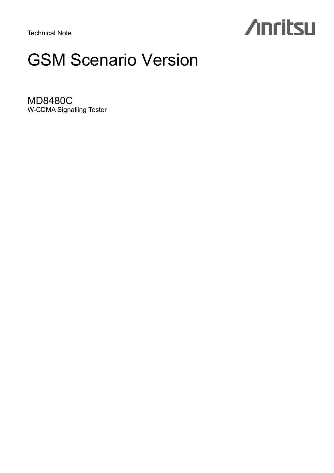Technical Note

# **Anritsu**

## GSM Scenario Version

MD8480C W-CDMA Signalling Tester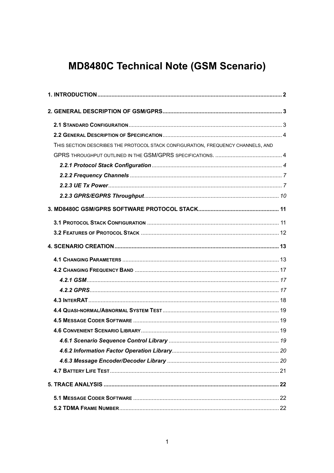### **MD8480C Technical Note (GSM Scenario)**

| THIS SECTION DESCRIBES THE PROTOCOL STACK CONFIGURATION, FREQUENCY CHANNELS, AND |  |
|----------------------------------------------------------------------------------|--|
|                                                                                  |  |
|                                                                                  |  |
|                                                                                  |  |
|                                                                                  |  |
|                                                                                  |  |
|                                                                                  |  |
|                                                                                  |  |
|                                                                                  |  |
|                                                                                  |  |
|                                                                                  |  |
|                                                                                  |  |
|                                                                                  |  |
|                                                                                  |  |
|                                                                                  |  |
|                                                                                  |  |
|                                                                                  |  |
|                                                                                  |  |
|                                                                                  |  |
|                                                                                  |  |
|                                                                                  |  |
|                                                                                  |  |
|                                                                                  |  |
|                                                                                  |  |
|                                                                                  |  |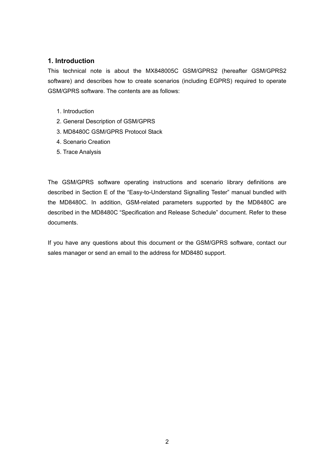#### **1. Introduction**

This technical note is about the MX848005C GSM/GPRS2 (hereafter GSM/GPRS2 software) and describes how to create scenarios (including EGPRS) required to operate GSM/GPRS software. The contents are as follows:

- 1. Introduction
- 2. General Description of GSM/GPRS
- 3. MD8480C GSM/GPRS Protocol Stack
- 4. Scenario Creation
- 5. Trace Analysis

The GSM/GPRS software operating instructions and scenario library definitions are described in Section E of the "Easy-to-Understand Signalling Tester" manual bundled with the MD8480C. In addition, GSM-related parameters supported by the MD8480C are described in the MD8480C "Specification and Release Schedule" document. Refer to these documents.

If you have any questions about this document or the GSM/GPRS software, contact our sales manager or send an email to the address for MD8480 support.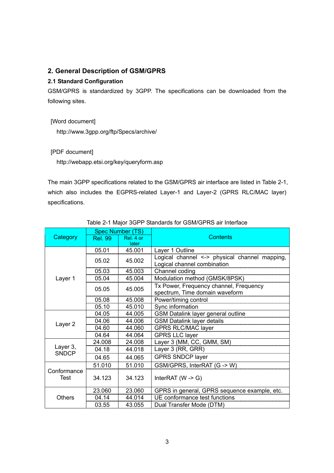#### **2. General Description of GSM/GPRS**

#### **2.1 Standard Configuration**

GSM/GPRS is standardized by 3GPP. The specifications can be downloaded from the following sites.

 [Word document] http://www.3gpp.org/ftp/Specs/archive/

[PDF document]

http://webapp.etsi.org/key/queryform.asp

The main 3GPP specifications related to the GSM/GPRS air interface are listed in Table 2-1, which also includes the EGPRS-related Layer-1 and Layer-2 (GPRS RLC/MAC layer) specifications.

|                          |                | <b>Spec Number (TS)</b> |                                                                                                                 |  |  |
|--------------------------|----------------|-------------------------|-----------------------------------------------------------------------------------------------------------------|--|--|
| Category                 | <b>Rel. 99</b> | Rel. 4 or               | <b>Contents</b>                                                                                                 |  |  |
|                          |                | later                   |                                                                                                                 |  |  |
|                          | 05.01          | 45.001                  | Layer 1 Outline                                                                                                 |  |  |
|                          | 05.02          | 45.002                  | Logical channel <-> physical channel mapping,<br>Logical channel combination                                    |  |  |
|                          | 05.03          | 45.003                  | Channel coding                                                                                                  |  |  |
| Layer 1                  | 05.04          | 45.004                  | Modulation method (GMSK/8PSK)                                                                                   |  |  |
|                          | 05.05          | 45.005                  | Tx Power, Frequency channel, Frequency<br>spectrum, Time domain waveform                                        |  |  |
|                          | 05.08          | 45.008                  | Power/timing control                                                                                            |  |  |
|                          | 05.10          | 45.010                  | Sync information                                                                                                |  |  |
|                          | 04.05          | 44.005                  | GSM Datalink layer general outline                                                                              |  |  |
|                          | 04.06          | 44.006                  | <b>GSM Datalink layer details</b><br>_________ <b>______________</b>                                            |  |  |
| Layer <sub>2</sub>       | 04.60          | 44.060                  |                                                                                                                 |  |  |
|                          | 04.64          | 44.064                  | <b>GPRS LLC layer</b>                                                                                           |  |  |
|                          | 24.008         | 24.008                  | Layer 3 (MM, CC, GMM, SM) [2010] [2010] [2010] [2010] [2010] [2010] [2010] [2010] [2010] [2010] [2010] [2010] [ |  |  |
| Layer 3,<br><b>SNDCP</b> | 04.18          | 44.018                  | Layer 3 (RR, GRR)                                                                                               |  |  |
|                          | 04.65          | 44.065                  | <b>GPRS SNDCP layer</b>                                                                                         |  |  |
|                          | 51.010         | 51.010                  | GSM/GPRS, InterRAT (G -> W)                                                                                     |  |  |
| Conformance<br>Test      | 34.123         | 34.123                  | InterRAT ( $W \rightarrow G$ )                                                                                  |  |  |
|                          | 23.060         | 23.060                  | GPRS in general, GPRS sequence example, etc.                                                                    |  |  |
| <b>Others</b>            | 04.14          | 44.014                  | UE conformance test functions                                                                                   |  |  |
|                          | 03.55          | 43.055                  | Dual Transfer Mode (DTM)                                                                                        |  |  |

#### Table 2-1 Major 3GPP Standards for GSM/GPRS air Interface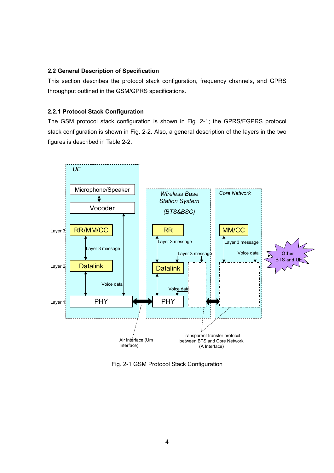#### **2.2 General Description of Specification**

This section describes the protocol stack configuration, frequency channels, and GPRS throughput outlined in the GSM/GPRS specifications.

#### **2.2.1 Protocol Stack Configuration**

The GSM protocol stack configuration is shown in Fig. 2-1; the GPRS/EGPRS protocol stack configuration is shown in Fig. 2-2. Also, a general description of the layers in the two figures is described in Table 2-2.



Fig. 2-1 GSM Protocol Stack Configuration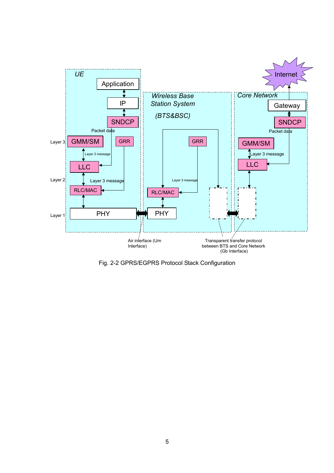

Fig. 2-2 GPRS/EGPRS Protocol Stack Configuration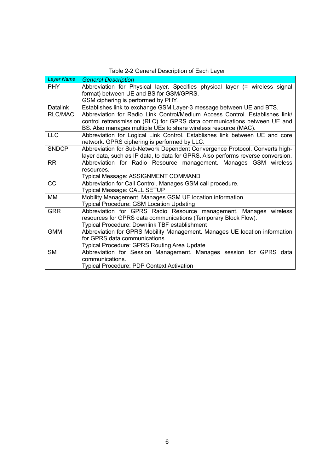| <b>Layer Name</b> | <b>General Description</b>                                                       |
|-------------------|----------------------------------------------------------------------------------|
| <b>PHY</b>        | Abbreviation for Physical layer. Specifies physical layer (= wireless signal     |
|                   | format) between UE and BS for GSM/GPRS.                                          |
|                   | GSM ciphering is performed by PHY.                                               |
| <b>Datalink</b>   | Establishes link to exchange GSM Layer-3 message between UE and BTS.             |
| <b>RLC/MAC</b>    | Abbreviation for Radio Link Control/Medium Access Control. Establishes link/     |
|                   | control retransmission (RLC) for GPRS data communications between UE and         |
|                   | BS. Also manages multiple UEs to share wireless resource (MAC).                  |
| ULC               | Abbreviation for Logical Link Control. Establishes link between UE and core      |
|                   | network. GPRS ciphering is performed by LLC.                                     |
| <b>SNDCP</b>      | Abbreviation for Sub-Network Dependent Convergence Protocol. Converts high-      |
|                   | layer data, such as IP data, to data for GPRS. Also performs reverse conversion. |
| <b>RR</b>         | Abbreviation for Radio Resource management. Manages GSM wireless                 |
|                   | resources.                                                                       |
|                   | Typical Message: ASSIGNMENT COMMAND                                              |
| CC                | Abbreviation for Call Control. Manages GSM call procedure.                       |
|                   | <b>Typical Message: CALL SETUP</b>                                               |
| MМ                | Mobility Management. Manages GSM UE location information.                        |
|                   | <b>Typical Procedure: GSM Location Updating</b>                                  |
| <b>GRR</b>        | Abbreviation for GPRS Radio Resource management. Manages wireless                |
|                   | resources for GPRS data communications (Temporary Block Flow).                   |
|                   | Typical Procedure: Downlink TBF establishment                                    |
| <b>GMM</b>        | Abbreviation for GPRS Mobility Management. Manages UE location information       |
|                   | for GPRS data communications.                                                    |
|                   | <b>Typical Procedure: GPRS Routing Area Update</b>                               |
| <b>SM</b>         | Abbreviation for Session Management. Manages session for GPRS data               |
|                   | communications.                                                                  |
|                   | <b>Typical Procedure: PDP Context Activation</b>                                 |

Table 2-2 General Description of Each Layer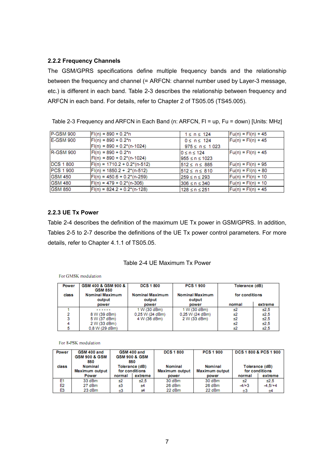#### **2.2.2 Frequency Channels**

The GSM/GPRS specifications define multiple frequency bands and the relationship between the frequency and channel (= ARFCN: channel number used by Layer-3 message, etc.) is different in each band. Table 2-3 describes the relationship between frequency and ARFCN in each band. For details, refer to Chapter 2 of TS05.05 (TS45.005).

| P-GSM 900        | $F1(n) = 890 + 0.2*n$             | $1 \leq n \leq 124$  | $Fu(n) = Fl(n) + 45$ |
|------------------|-----------------------------------|----------------------|----------------------|
| E-GSM 900        | $Fl(n) = 890 + 0.2*n$             | $0 \leq n \leq 124$  | $Fu(n) = FI(n) + 45$ |
|                  | $F1(n) = 890 + 0.2^{(n-1024)}$    | $975 \le n \le 1023$ |                      |
| IR-GSM 900       | $F(n) = 890 + 0.2*n$              | $0 \le n \le 124$    | $Fu(n) = Fl(n) + 45$ |
|                  | $ F (n) = 890 + 0.2^{*}(n-1024)$  | l955 ≤ n ≤ 1023      |                      |
| <b>DCS 1 800</b> | $ F (n) = 1710.2 + 0.2^{(n-512)}$ | 512≤n≤885            | $Fu(n) = Fl(n) + 95$ |
| PCS 1 900        | $F1(n) = 1850.2 + .2*(n-512)$     | $512 \le n \le 810$  | $Fu(n) = Fl(n) + 80$ |
| <b>IGSM 450</b>  | $ F (n) = 450.6 + 0.2^{(n-259)}$  | l259 ≤ n ≤ 293       | $Fu(n) = Fl(n) + 10$ |
| <b>GSM 480</b>   | $F1(n) = 479 + 0.2^{(n-306)}$     | $306 \le n \le 340$  | $Fu(n) = Fl(n) + 10$ |
| <b>GSM 850</b>   | $F1(n) = 824.2 + 0.2^{(n-128)}$   | $128 \le n \le 251$  | $Fu(n) = Fl(n) + 45$ |

Table 2-3 Frequency and ARFCN in Each Band (n: ARFCN, Fl = up, Fu = down) [Units: MHz]

#### **2.2.3 UE Tx Power**

Table 2-4 describes the definition of the maximum UE Tx power in GSM/GPRS. In addition, Tables 2-5 to 2-7 describe the definitions of the UE Tx power control parameters. For more details, refer to Chapter 4.1.1 of TS05.05.

#### Table 2-4 UE Maximum Tx Power

#### For GMSK modulation

| Power | GSM 400 & GSM 900 &<br><b>GSM 850</b> | <b>DCS 1 800</b>                 | <b>PCS 1 900</b>                 | Tolerance (dB) |         |
|-------|---------------------------------------|----------------------------------|----------------------------------|----------------|---------|
| class | <b>Nominal Maximum</b><br>output      | <b>Nominal Maximum</b><br>output | <b>Nominal Maximum</b><br>output | for conditions |         |
|       | power                                 | power                            | power                            | normal         | extreme |
|       | ------                                | 1 W (30 dBm)                     | 1 W (30 dBm)                     | ±2             | ±2.5    |
|       | 8 W (39 dBm)                          | 0.25 W (24 dBm)                  | 0.25 W (24 dBm)                  | ±2             | ±2.5    |
|       | 5 W (37 dBm)                          | 4 W (36 dBm)                     | 2 W (33 dBm)                     | ±2             | ±2.5    |
|       | 2 W (33 dBm)                          |                                  |                                  | ±2             | ±2.5    |
|       | 0.8 W (29 dBm)                        |                                  |                                  | ±2             | ±2.5    |

For 8-PSK modulation

| Power          | GSM 400 and              |                          | GSM 400 and    | <b>DCS 1800</b> | <b>PCS 1 900</b>      |         | <b>DCS 1 800 &amp; PCS 1 900</b> |
|----------------|--------------------------|--------------------------|----------------|-----------------|-----------------------|---------|----------------------------------|
|                | <b>GSM 900 &amp; GSM</b> | <b>GSM 900 &amp; GSM</b> |                |                 |                       |         |                                  |
|                | 850                      |                          | 850            |                 |                       |         |                                  |
| class          | Nominal                  |                          | Tolerance (dB) | Nominal         | Nominal               |         | Tolerance (dB)                   |
|                | Maximum output           |                          | for conditions | Maximum output  | <b>Maximum output</b> |         | for conditions                   |
|                | Power                    | normal                   | extreme        | power           | power                 | normal  | extreme                          |
| E1             | 33 dBm                   | ±2                       | ±2.5           | 30 dBm          | 30 dBm                | ±2      | ±2.5                             |
| E <sub>2</sub> | 27 dBm                   | ±3                       | ±4             | 26 dBm          | 26 dBm                | $-4/13$ | $-4.5/+4$                        |
| E3             | 23 dBm                   | ±3                       | ±4             | 22 dBm          | 22 dBm                | $\pm 3$ | ±4                               |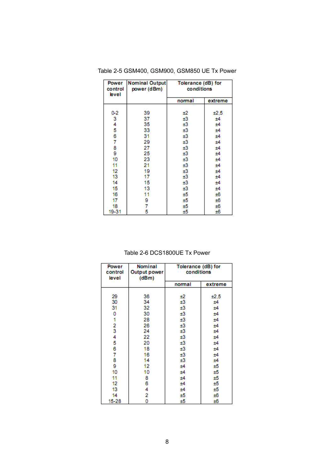| control<br>level | <b>Power</b> Nominal Output<br>power (dBm) | Tolerance (dB) for<br>conditions |         |
|------------------|--------------------------------------------|----------------------------------|---------|
|                  |                                            | normal                           | extreme |
|                  |                                            |                                  |         |
| $0-2$            | 39                                         | ±2                               | ±2,5    |
| 3                | 37                                         | ±3                               | ±4      |
| 4                | 35                                         | ±3                               | ±4      |
| 5                | 33                                         | ±3                               | ±4      |
| 6                | 31                                         | ±3                               | ±4      |
| 7                | 29                                         | ±3                               | ±4      |
| 8                | 27                                         | ±3                               | ±4      |
| 9                | 25                                         | ±3                               | ±4      |
| 10               | 23                                         | ±3                               | ±4      |
| 11               | 21                                         | ±3                               | ±4      |
| 12               | 19                                         | ±3                               | ±4      |
| 13               | 17                                         | ±3                               | ±4      |
| 14               | 15                                         | ±3                               | ±4      |
| 15               | 13                                         | ±3                               | ±4      |
| 16               | 11                                         | ±5                               | ±6      |
| 17               | 9                                          | ±5                               | ±6      |
| 18               | 7                                          | ±5                               | ±6      |
| 19-31            | 5                                          | ±5                               | ±6      |

Table 2-5 GSM400, GSM900, GSM850 UE Tx Power

#### Table 2-6 DCS1800UE Tx Power

| <b>Power</b><br>control<br>level | Nominal<br>Output power<br>(dBm) | Tolerance (dB) for<br>conditions |         |
|----------------------------------|----------------------------------|----------------------------------|---------|
|                                  |                                  | normal                           | extreme |
|                                  |                                  |                                  |         |
| 29                               | 36                               | ±2                               | ±2,5    |
| 30                               | 34                               | ±3                               | ±4      |
| 31                               | 32                               | ±3                               | ±4      |
| 0                                | 30                               | ±3                               | ±4      |
| 1                                | 28                               | ±3                               | ±4      |
| 2<br>3                           | 26                               | ±3                               | ±4      |
|                                  | 24                               | ±3                               | ±4      |
| 4                                | 22                               | ±3                               | ±4      |
| 5                                | 20                               | ±3                               | ±4      |
| 6                                | 18                               | ±3                               | ±4      |
| 7                                | 16                               | ±3                               | ±4      |
| 8                                | 14                               | ±3                               | ±4      |
| 9                                | 12                               | ±4                               | ±5      |
| 10                               | 10                               | ±4                               | ±5      |
| 11                               | 8                                | ±4                               | ±5      |
| 12                               | 6                                | ±4                               | ±5      |
| 13                               | 4                                | ±4                               | ±5      |
| 14                               | 2                                | ±5                               | ±6      |
| 15-28                            | ٥                                | ±5                               | ±6      |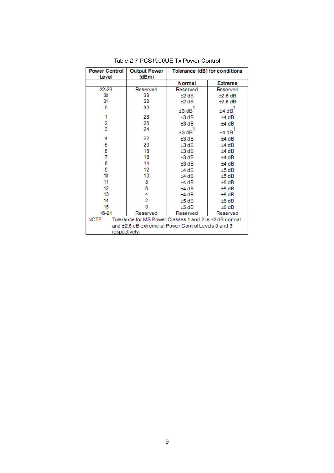| <b>Power Control</b><br>Level                                                                                          | <b>Output Power</b><br>(dBm) | Tolerance (dB) for conditions |                |  |
|------------------------------------------------------------------------------------------------------------------------|------------------------------|-------------------------------|----------------|--|
|                                                                                                                        |                              | Normal                        | <b>Extreme</b> |  |
| 22-29                                                                                                                  | Reserved                     | Reserved                      | Reserved       |  |
| 30                                                                                                                     | 33                           | $±2$ dB                       | $±2,5$ dB      |  |
| 31                                                                                                                     | 32                           | $±2$ dB                       | $±2,5$ dB      |  |
| 0                                                                                                                      | 30                           | ±3 dB                         | ±4 dB          |  |
| 1                                                                                                                      | 28                           | ±3 dB                         | ±4 dB          |  |
| 2                                                                                                                      | 26                           | ±3 dB                         | ±4 dB          |  |
| 3                                                                                                                      | 24                           | ±3 dB                         | ±4 dB          |  |
| 4                                                                                                                      | 22                           | ±3 dB                         | ±4 dB          |  |
| 5                                                                                                                      | 20                           | ±3 dB                         | ±4 dB          |  |
| 6                                                                                                                      | 18                           | ±3 dB                         | ±4 dB          |  |
| 7                                                                                                                      | 16                           | ±3 dB                         | ±4 dB          |  |
| 8                                                                                                                      | 14                           | ±3 dB                         | ±4 dB          |  |
| 9                                                                                                                      | 12                           | ±4 dB                         | ±5 dB          |  |
| 10                                                                                                                     | 10                           | ±4 dB                         | ±5 dB          |  |
| 11                                                                                                                     | 8                            | ±4 dB                         | ±5 dB          |  |
| 12                                                                                                                     | 6                            | ±4 dB                         | ±5 dB          |  |
| 13                                                                                                                     | 4                            | ±4 dB                         | ±5 dB          |  |
| 14                                                                                                                     | 2                            | ±5 dB                         | ±6 dB          |  |
| 15                                                                                                                     | ٥<br>±5 dB<br>±6 dB          |                               |                |  |
| $16 - 21$                                                                                                              | Reserved                     | Reserved                      | Reserved       |  |
| NOTE:<br>Tolerance for MS Power Classes 1 and 2 is ±2 dB normal<br>and ±2,5 dB extreme at Power Control Levels 0 and 3 |                              |                               |                |  |
| respectively.                                                                                                          |                              |                               |                |  |

Table 2-7 PCS1900UE Tx Power Control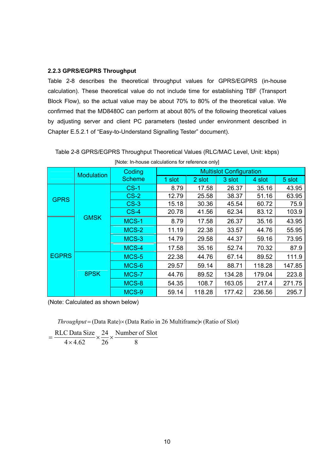#### **2.2.3 GPRS/EGPRS Throughput**

Table 2-8 describes the theoretical throughput values for GPRS/EGPRS (in-house calculation). These theoretical value do not include time for establishing TBF (Transport Block Flow), so the actual value may be about 70% to 80% of the theoretical value. We confirmed that the MD8480C can perform at about 80% of the following theoretical values by adjusting server and client PC parameters (tested under environment described in Chapter E.5.2.1 of "Easy-to-Understand Signalling Tester" document).

|              | <b>TROTE:</b> In-nouse calculations for reference only |               |                                |        |        |        |        |
|--------------|--------------------------------------------------------|---------------|--------------------------------|--------|--------|--------|--------|
|              | Coding<br><b>Modulation</b>                            |               | <b>Multislot Configuration</b> |        |        |        |        |
|              |                                                        | <b>Scheme</b> | 1 slot                         | 2 slot | 3 slot | 4 slot | 5 slot |
|              |                                                        | $CS-1$        | 8.79                           | 17.58  | 26.37  | 35.16  | 43.95  |
| <b>GPRS</b>  |                                                        | $CS-2$        | 12.79                          | 25.58  | 38.37  | 51.16  | 63.95  |
|              |                                                        | $CS-3$        | 15.18                          | 30.36  | 45.54  | 60.72  | 75.9   |
|              |                                                        | $CS-4$        | 20.78                          | 41.56  | 62.34  | 83.12  | 103.9  |
|              | <b>GMSK</b>                                            | MCS-1         | 8.79                           | 17.58  | 26.37  | 35.16  | 43.95  |
|              |                                                        | MCS-2         | 11.19                          | 22.38  | 33.57  | 44.76  | 55.95  |
|              |                                                        | MCS-3         | 14.79                          | 29.58  | 44.37  | 59.16  | 73.95  |
|              |                                                        | MCS-4         | 17.58                          | 35.16  | 52.74  | 70.32  | 87.9   |
| <b>EGPRS</b> |                                                        | MCS-5         | 22.38                          | 44.76  | 67.14  | 89.52  | 111.9  |
|              |                                                        | MCS-6         | 29.57                          | 59.14  | 88.71  | 118.28 | 147.85 |
|              | 8PSK                                                   | MCS-7         | 44.76                          | 89.52  | 134.28 | 179.04 | 223.8  |
|              |                                                        | MCS-8         | 54.35                          | 108.7  | 163.05 | 217.4  | 271.75 |
|              |                                                        | MCS-9         | 59.14                          | 118.28 | 177.42 | 236.56 | 295.7  |

Table 2-8 GPRS/EGPRS Throughput Theoretical Values (RLC/MAC Level, Unit: kbps)

[Note: In-house calculations for reference only]

(Note: Calculated as shown below)

*Throughput* = (Data Rate)× (Data Ratio in 26 Multiframe)× (Ratio of Slot)

8 Number of Slot 26 24  $4 \times 4.62$  $=\frac{\text{RLC Data Size}}{4 \times 4.62} \times \frac{24}{26} \times$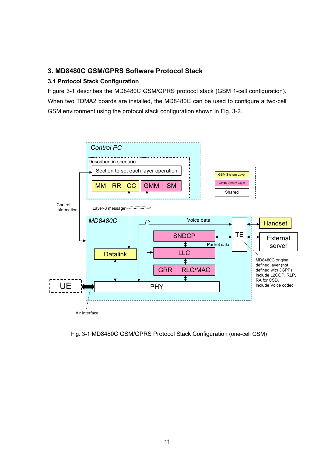#### **3. MD8480C GSM/GPRS Software Protocol Stack**

#### **3.1 Protocol Stack Configuration**

Figure 3-1 describes the MD8480C GSM/GPRS protocol stack (GSM 1-cell configuration). When two TDMA2 boards are installed, the MD8480C can be used to configure a two-cell GSM environment using the protocol stack configuration shown in Fig. 3-2.



Fig. 3-1 MD8480C GSM/GPRS Protocol Stack Configuration (one-cell GSM)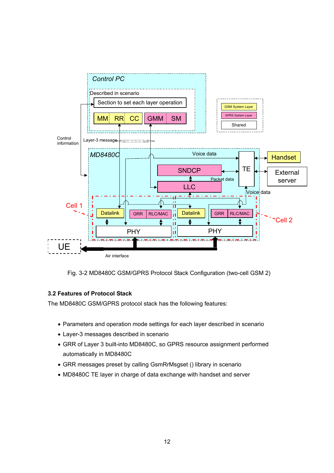

Fig. 3-2 MD8480C GSM/GPRS Protocol Stack Configuration (two-cell GSM 2)

#### **3.2 Features of Protocol Stack**

The MD8480C GSM/GPRS protocol stack has the following features:

- Parameters and operation mode settings for each layer described in scenario
- Layer-3 messages described in scenario
- GRR of Layer 3 built-into MD8480C, so GPRS resource assignment performed automatically in MD8480C
- GRR messages preset by calling GsmRrMsgset () library in scenario
- MD8480C TE layer in charge of data exchange with handset and server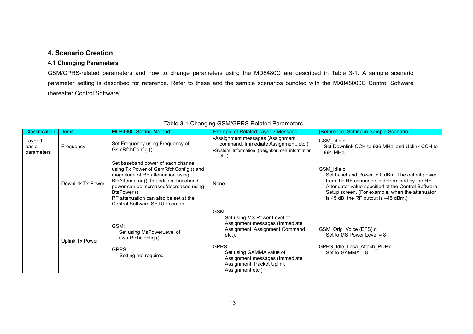### **4. Scenario Creation**

#### **4.1 Changing Parameters**

GSM/GPRS-related parameters and how to change parameters using the MD8480C are described in Table 3-1. A sample scenario parameter setting is described for reference. Refer to these and the sample scenarios bundled with the MX848000C Control Software (hereafter Control Software).

| Classification<br>Layer-1<br>basic<br>parameters | <b>Items</b><br>Frequency | <b>MD8480C Setting Method</b><br>Set Frequency using Frequency of<br>GsmRfchConfig ()                                                                                                                                                                                                             | <b>Example of Related Layer-3 Message</b><br>•Assignment messages (Assignment<br>command, Immediate Assignment, etc.)<br>·System Information (Neighbor cell information,<br>etc.)                                                          | (Reference) Setting in Sample Scenario<br>GSM Idle.c:<br>Set Downlink CCH to 936 MHz, and Uplink CCH to<br>891 MHz.                                                                                                                                              |
|--------------------------------------------------|---------------------------|---------------------------------------------------------------------------------------------------------------------------------------------------------------------------------------------------------------------------------------------------------------------------------------------------|--------------------------------------------------------------------------------------------------------------------------------------------------------------------------------------------------------------------------------------------|------------------------------------------------------------------------------------------------------------------------------------------------------------------------------------------------------------------------------------------------------------------|
| Downlink Tx Power                                |                           | Set baseband power of each channel<br>using Tx Power of GsmRfchConfig () and<br>magnitude of RF attenuation using<br>BtsAttenuator (). In addition, baseband<br>power can be increased/decreased using<br>BtsPower ().<br>RF attenuation can also be set at the<br>Control Software SETUP screen. | None                                                                                                                                                                                                                                       | GSM Idle.c:<br>Set baseband Power to 0 dBm. The output power<br>from the RF connector is determined by the RF<br>Attenuator value specified at the Control Software<br>Setup screen. (For example, when the attenuator<br>is 45 dB, the RF output is $-45$ dBm.) |
|                                                  | Uplink Tx Power           | GSM:<br>Set using MsPowerLevel of<br>GsmRfchConfig ()<br>GPRS:<br>Setting not required                                                                                                                                                                                                            | GSM:<br>Set using MS Power Level of<br>Assignment messages (Immediate)<br>Assignment, Assignment Command<br>etc.).<br>GPRS:<br>Set using GAMMA value of<br>Assignment messages (Immediate<br>Assignment, Packet Uplink<br>Assignment etc.) | GSM Orig Voice (EFS).c:<br>Set to MS Power Level = $8$<br>GPRS Idle Loca Attach PDP.c:<br>Set to $GAMMA = 8$                                                                                                                                                     |

#### Table 3-1 Changing GSM/GPRS Related Parameters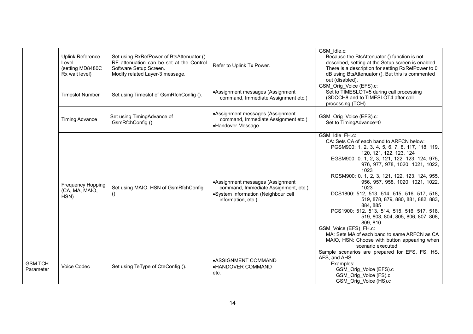|                             | <b>Uplink Reference</b><br>Level<br>(setting MD8480C<br>Rx wait level) | Set using RxRefPower of BtsAttenuator ().<br>RF attenuation can be set at the Control<br>Software Setup Screen.<br>Modify related Layer-3 message. | Refer to Uplink Tx Power.                                                                                                             | GSM Idle.c:<br>Because the BtsAttenuator () function is not<br>described, setting at the Setup screen is enabled.<br>There is a description for setting RxRefPower to 0<br>dB using BtsAttenuator (). But this is commented<br>out (disabled).                                                                                                                                                                                                                                                                                                                                                                                                                                     |
|-----------------------------|------------------------------------------------------------------------|----------------------------------------------------------------------------------------------------------------------------------------------------|---------------------------------------------------------------------------------------------------------------------------------------|------------------------------------------------------------------------------------------------------------------------------------------------------------------------------------------------------------------------------------------------------------------------------------------------------------------------------------------------------------------------------------------------------------------------------------------------------------------------------------------------------------------------------------------------------------------------------------------------------------------------------------------------------------------------------------|
|                             | <b>Timeslot Number</b>                                                 | Set using Timeslot of GsmRfchConfig ().                                                                                                            | •Assignment messages (Assignment<br>command, Immediate Assignment etc.)                                                               | GSM_Orig_Voice (EFS).c:<br>Set to TIMESLOT=5 during call processing<br>(SDCCH8 and to TIMESLOT4 after call<br>processing (TCH)                                                                                                                                                                                                                                                                                                                                                                                                                                                                                                                                                     |
|                             | <b>Timing Advance</b>                                                  | Set using TimingAdvance of<br>GsmRfchConfig ()                                                                                                     | •Assignment messages (Assignment<br>command, Immediate Assignment etc.)<br>•Handover Message                                          | GSM_Orig_Voice (EFS).c:<br>Set to TimingAdvance=0                                                                                                                                                                                                                                                                                                                                                                                                                                                                                                                                                                                                                                  |
|                             | <b>Frequency Hopping</b><br>(CA, MA, MAIO,<br>HSN)                     | Set using MAIO, HSN of GsmRfchConfig<br>$()$ .                                                                                                     | •Assignment messages (Assignment<br>command, Immediate Assignment, etc.)<br>•System Information (Neighbour cell<br>information, etc.) | GSM Idle FH.c:<br>CA: Sets CA of each band to ARFCN below:<br>PGSM900: 1, 2, 3, 4, 5, 6, 7, 8, 117, 118, 119,<br>120, 121, 122, 123, 124<br>EGSM900: 0, 1, 2, 3, 121, 122, 123, 124, 975,<br>976, 977, 978, 1020, 1021, 1022,<br>1023<br>RGSM900: 0, 1, 2, 3, 121, 122, 123, 124, 955,<br>956, 957, 958, 1020, 1021, 1022,<br>1023<br>DCS1800: 512, 513, 514, 515, 516, 517, 518,<br>519, 878, 879, 880, 881, 882, 883,<br>884, 885<br>PCS1900: 512, 513, 514, 515, 516, 517, 518,<br>519, 803, 804, 805, 806, 807, 808,<br>809, 810<br>GSM Voice (EFS) FH.c:<br>MA: Sets MA of each band to same ARFCN as CA<br>MAIO, HSN: Choose with button appearing when<br>scenario executed |
| <b>GSM TCH</b><br>Parameter | <b>Voice Codec</b>                                                     | Set using TeType of CteConfig ().                                                                                                                  | •ASSIGNMENT COMMAND<br>•HANDOVER COMMAND<br>etc.                                                                                      | Sample scenarios are prepared for EFS, FS, HS,<br>AFS, and AHS.<br>Examples:<br>GSM_Orig_Voice (EFS).c<br>GSM Orig Voice (FS).c<br>GSM_Orig_Voice (HS).c                                                                                                                                                                                                                                                                                                                                                                                                                                                                                                                           |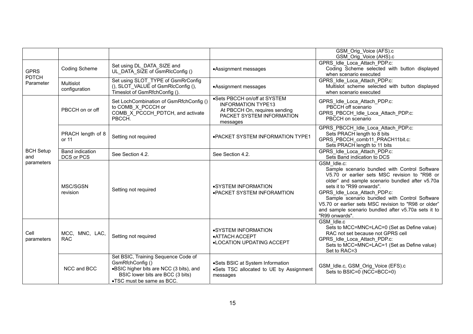|                                          |                                      |                                                                                                                                                                    |                                                                                                                                     | GSM Orig Voice (AFS).c<br>GSM_Orig_Voice (AHS).c                                                                                                                                                                                                                                                                                                                                                                |
|------------------------------------------|--------------------------------------|--------------------------------------------------------------------------------------------------------------------------------------------------------------------|-------------------------------------------------------------------------------------------------------------------------------------|-----------------------------------------------------------------------------------------------------------------------------------------------------------------------------------------------------------------------------------------------------------------------------------------------------------------------------------------------------------------------------------------------------------------|
| <b>GPRS</b><br><b>PDTCH</b><br>Parameter | <b>Coding Scheme</b>                 | Set using DL DATA SIZE and<br>UL DATA SIZE of GsmRIcConfig ()                                                                                                      | •Assignment messages                                                                                                                | GPRS Idle Loca Attach PDP.c:<br>Coding Scheme selected with button displayed<br>when scenario executed                                                                                                                                                                                                                                                                                                          |
|                                          | Multislot<br>configuration           | Set using SLOT TYPE of GsmRrConfig<br>(), SLOT VALUE of GsmRlcConfig (),<br>Timeslot of GsmRfchConfig ().                                                          | •Assignment messages                                                                                                                | GPRS Idle Loca Attach PDP.c:<br>Multislot scheme selected with button displayed<br>when scenario executed                                                                                                                                                                                                                                                                                                       |
| <b>BCH Setup</b><br>and<br>parameters    | PBCCH on or off                      | Set LochCombination of GsmRfchConfig ()<br>to COMB_X_PCCCH or<br>COMB X PCCCH PDTCH, and activate<br>PBCCH.                                                        | •Sets PBCCH on/off at SYSTEM<br><b>INFORMATION TYPE13</b><br>At PBCCH On, requires sending<br>PACKET SYSTEM INFORMATION<br>messages | GPRS_Idle_Loca_Attach_PDP.c:<br>PBCCH off scenario<br>GPRS_PBCCH_Idle_Loca_Attach_PDP.c:<br>PBCCH on scenario                                                                                                                                                                                                                                                                                                   |
|                                          | PRACH length of 8<br>or 11           | Setting not required                                                                                                                                               | . PACKET SYSTEM INFORMATION TYPE1                                                                                                   | GPRS PBCCH Idle Loca Attach PDP.c:<br>Sets PRACH length to 8 bits<br>GPRS PBCCH comb11 PRACH11bit.c:<br>Sets PRACH length to 11 bits                                                                                                                                                                                                                                                                            |
|                                          | <b>Band indication</b><br>DCS or PCS | See Section 4.2.                                                                                                                                                   | See Section 4.2.                                                                                                                    | GPRS Idle Loca Attach PDP.c:<br>Sets Band indication to DCS                                                                                                                                                                                                                                                                                                                                                     |
|                                          | MSC/SGSN<br>revision                 | Setting not required                                                                                                                                               | •SYSTEM INFORMATION<br>. PACKET SYSTEM INFORAMTION                                                                                  | GSM Idle.c:<br>Sample scenario bundled with Control Software<br>V5.70 or earlier sets MSC revision to "R98 or<br>older" and sample scenario bundled after v5.70a<br>sets it to "R99 onwards".<br>GPRS_Idle_Loca_Attach_PDP.c:<br>Sample scenario bundled with Control Software<br>V5.70 or earlier sets MSC revision to "R98 or older"<br>and sample scenario bundled after v5.70a sets it to<br>"R99 onwards". |
| Cell<br>parameters                       | MCC, MNC, LAC,<br><b>RAC</b>         | Setting not required                                                                                                                                               | •SYSTEM INFORMATION<br>•ATTACH ACCEPT<br><b>.LOCATION UPDATING ACCEPT</b>                                                           | GSM Idle.c<br>Sets to MCC=MNC=LAC=0 (Set as Define value)<br>RAC not set because not GPRS cell<br>GPRS_Idle_Loca_Attach_PDP.c:<br>Sets to MCC=MNC=LAC=1 (Set as Define value)<br>Set to RAC=3                                                                                                                                                                                                                   |
|                                          | NCC and BCC                          | Set BSIC, Training Sequence Code of<br>GsmRfchConfig()<br>.BSIC higher bits are NCC (3 bits), and<br>BSIC lower bits are BCC (3 bits)<br>•TSC must be same as BCC. | ·Sets BSIC at System Information<br>.Sets TSC allocated to UE by Assignment<br>messages                                             | GSM_Idle.c, GSM_Orig_Voice (EFS).c<br>Sets to BSIC=0 (NCC=BCC=0)                                                                                                                                                                                                                                                                                                                                                |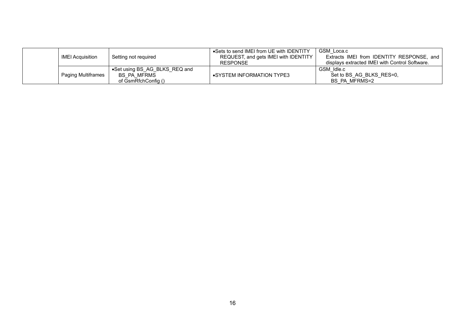|  | IMEI Acquisition   | Setting not required                                                | •Sets to send IMEI from UE with IDENTITY<br>REQUEST, and gets IMEI with IDENTITY<br>RESPONSE | GSM Loca.c<br>Extracts IMEI from IDENTITY RESPONSE, and<br>displays extracted IMEI with Control Software. |
|--|--------------------|---------------------------------------------------------------------|----------------------------------------------------------------------------------------------|-----------------------------------------------------------------------------------------------------------|
|  | Paging Multiframes | •Set using BS AG BLKS REQ and<br>BS PA MFRMS<br>of GsmRfchConfig () | •SYSTEM INFORMATION TYPE3                                                                    | GSM Idle.c<br>Set to BS AG BLKS RES=0,<br>BS PA MFRMS=2                                                   |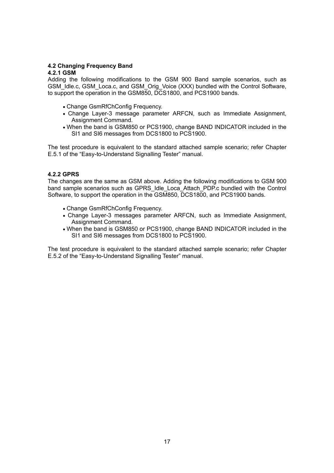#### **4.2 Changing Frequency Band**

#### **4.2.1 GSM**

Adding the following modifications to the GSM 900 Band sample scenarios, such as GSM\_Idle.c, GSM\_Loca.c, and GSM\_Orig\_Voice (XXX) bundled with the Control Software, to support the operation in the GSM850, DCS1800, and PCS1900 bands.

- Change GsmRfChConfig Frequency.
- Change Layer-3 message parameter ARFCN, such as Immediate Assignment, Assignment Command.
- When the band is GSM850 or PCS1900, change BAND INDICATOR included in the SI1 and SI6 messages from DCS1800 to PCS1900.

The test procedure is equivalent to the standard attached sample scenario; refer Chapter E.5.1 of the "Easy-to-Understand Signalling Tester" manual.

#### **4.2.2 GPRS**

The changes are the same as GSM above. Adding the following modifications to GSM 900 band sample scenarios such as GPRS Idle Loca Attach PDP.c bundled with the Control Software, to support the operation in the GSM850, DCS1800, and PCS1900 bands.

- Change GsmRfChConfig Frequency.
- Change Layer-3 messages parameter ARFCN, such as Immediate Assignment, Assignment Command.
- When the band is GSM850 or PCS1900, change BAND INDICATOR included in the SI1 and SI6 messages from DCS1800 to PCS1900.

The test procedure is equivalent to the standard attached sample scenario; refer Chapter E.5.2 of the "Easy-to-Understand Signalling Tester" manual.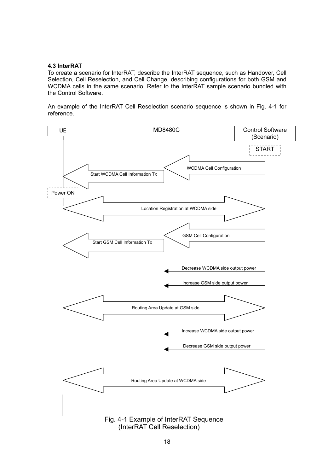#### **4.3 InterRAT**

To create a scenario for InterRAT, describe the InterRAT sequence, such as Handover, Cell Selection, Cell Reselection, and Cell Change, describing configurations for both GSM and WCDMA cells in the same scenario. Refer to the InterRAT sample scenario bundled with the Control Software.

An example of the InterRAT Cell Reselection scenario sequence is shown in Fig. 4-1 for reference.

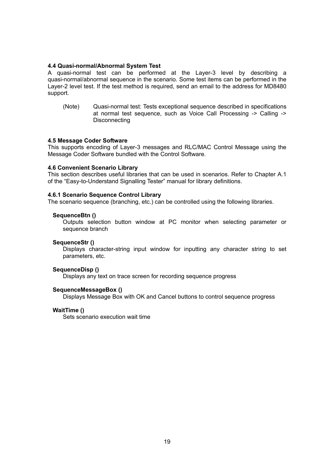#### **4.4 Quasi-normal/Abnormal System Test**

A quasi-normal test can be performed at the Layer-3 level by describing a quasi-normal/abnormal sequence in the scenario. Some test items can be performed in the Layer-2 level test. If the test method is required, send an email to the address for MD8480 support.

(Note) Quasi-normal test: Tests exceptional sequence described in specifications at normal test sequence, such as Voice Call Processing -> Calling -> **Disconnecting** 

#### **4.5 Message Coder Software**

This supports encoding of Layer-3 messages and RLC/MAC Control Message using the Message Coder Software bundled with the Control Software.

#### **4.6 Convenient Scenario Library**

This section describes useful libraries that can be used in scenarios. Refer to Chapter A.1 of the "Easy-to-Understand Signalling Tester" manual for library definitions.

#### **4.6.1 Scenario Sequence Control Library**

The scenario sequence (branching, etc.) can be controlled using the following libraries.

#### **SequenceBtn ()**

Outputs selection button window at PC monitor when selecting parameter or sequence branch

#### **SequenceStr ()**

Displays character-string input window for inputting any character string to set parameters, etc.

#### **SequenceDisp ()**

Displays any text on trace screen for recording sequence progress

#### **SequenceMessageBox ()**

Displays Message Box with OK and Cancel buttons to control sequence progress

#### **WaitTime ()**

Sets scenario execution wait time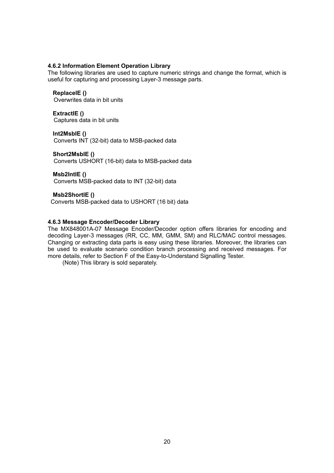#### **4.6.2 Information Element Operation Library**

The following libraries are used to capture numeric strings and change the format, which is useful for capturing and processing Layer-3 message parts.

#### **ReplaceIE ()**

Overwrites data in bit units

#### **ExtractIE ()**

Captures data in bit units

#### **Int2MsbIE ()**

Converts INT (32-bit) data to MSB-packed data

#### **Short2MsbIE ()**

Converts USHORT (16-bit) data to MSB-packed data

#### **Msb2IntIE ()**

Converts MSB-packed data to INT (32-bit) data

#### **Msb2ShortIE ()**

Converts MSB-packed data to USHORT (16 bit) data

#### **4.6.3 Message Encoder/Decoder Library**

The MX848001A-07 Message Encoder/Decoder option offers libraries for encoding and decoding Layer-3 messages (RR, CC, MM, GMM, SM) and RLC/MAC control messages. Changing or extracting data parts is easy using these libraries. Moreover, the libraries can be used to evaluate scenario condition branch processing and received messages. For more details, refer to Section F of the Easy-to-Understand Signalling Tester.

(Note) This library is sold separately.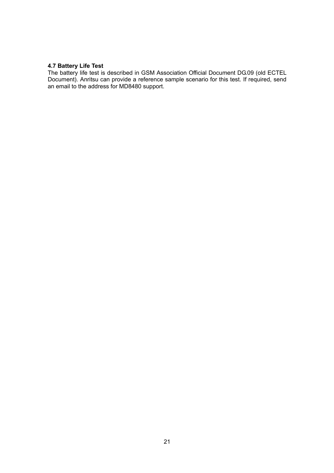#### **4.7 Battery Life Test**

The battery life test is described in GSM Association Official Document DG.09 (old ECTEL Document). Anritsu can provide a reference sample scenario for this test. If required, send an email to the address for MD8480 support.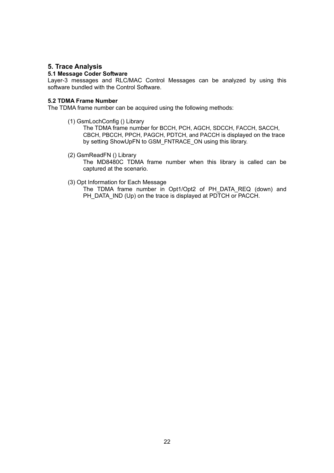#### **5. Trace Analysis**

#### **5.1 Message Coder Software**

Layer-3 messages and RLC/MAC Control Messages can be analyzed by using this software bundled with the Control Software.

#### **5.2 TDMA Frame Number**

The TDMA frame number can be acquired using the following methods:

(1) GsmLochConfig () Library

The TDMA frame number for BCCH, PCH, AGCH, SDCCH, FACCH, SACCH, CBCH, PBCCH, PPCH, PAGCH, PDTCH, and PACCH is displayed on the trace by setting ShowUpFN to GSM\_FNTRACE\_ON using this library.

(2) GsmReadFN () Library

The MD8480C TDMA frame number when this library is called can be captured at the scenario.

(3) Opt Information for Each Message

The TDMA frame number in Opt1/Opt2 of PH\_DATA\_REQ (down) and PH\_DATA\_IND (Up) on the trace is displayed at PDTCH or PACCH.